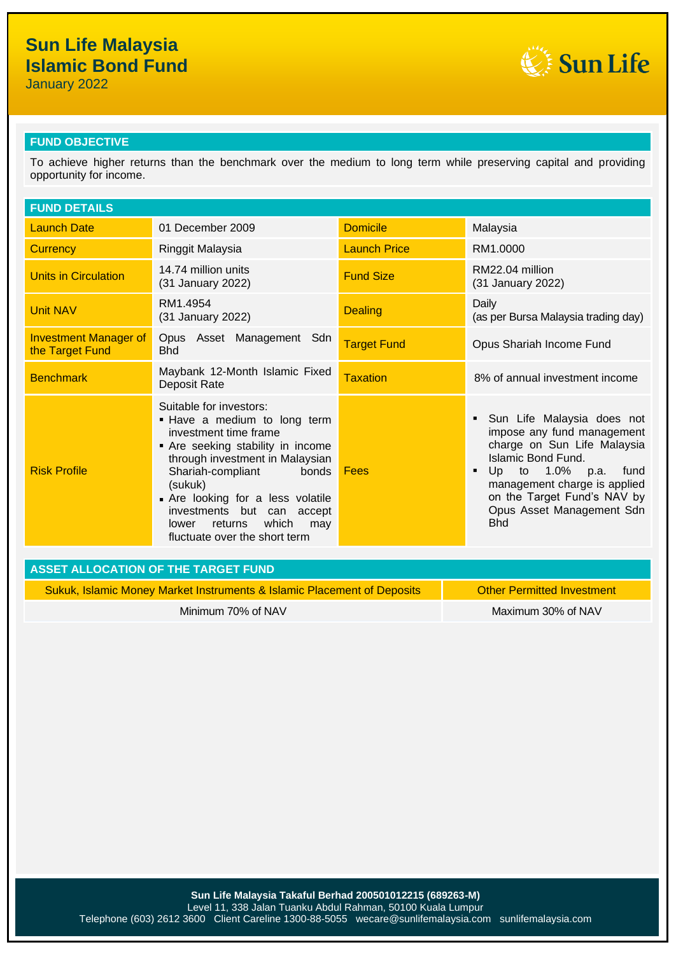January 2022



### **FUND OBJECTIVE**

To achieve higher returns than the benchmark over the medium to long term while preserving capital and providing opportunity for income.

| <b>FUND DETAILS</b>                                                                                          |                                                                                                                                                                                                                                                                                                                                       |                     |                                                                                                                                                                                                                                                       |  |
|--------------------------------------------------------------------------------------------------------------|---------------------------------------------------------------------------------------------------------------------------------------------------------------------------------------------------------------------------------------------------------------------------------------------------------------------------------------|---------------------|-------------------------------------------------------------------------------------------------------------------------------------------------------------------------------------------------------------------------------------------------------|--|
| <b>Launch Date</b>                                                                                           | 01 December 2009                                                                                                                                                                                                                                                                                                                      | <b>Domicile</b>     | Malaysia                                                                                                                                                                                                                                              |  |
| <b>Currency</b>                                                                                              | Ringgit Malaysia                                                                                                                                                                                                                                                                                                                      | <b>Launch Price</b> | RM1.0000                                                                                                                                                                                                                                              |  |
| <b>Units in Circulation</b>                                                                                  | 14.74 million units<br>(31 January 2022)                                                                                                                                                                                                                                                                                              | <b>Fund Size</b>    | RM22.04 million<br>(31 January 2022)                                                                                                                                                                                                                  |  |
| <b>Unit NAV</b>                                                                                              | RM1.4954<br>(31 January 2022)                                                                                                                                                                                                                                                                                                         | <b>Dealing</b>      | Daily<br>(as per Bursa Malaysia trading day)                                                                                                                                                                                                          |  |
| <b>Investment Manager of</b><br>the Target Fund                                                              | Opus Asset Management Sdn<br><b>Bhd</b>                                                                                                                                                                                                                                                                                               | <b>Target Fund</b>  | Opus Shariah Income Fund                                                                                                                                                                                                                              |  |
| <b>Benchmark</b>                                                                                             | Maybank 12-Month Islamic Fixed<br><b>Deposit Rate</b>                                                                                                                                                                                                                                                                                 | <b>Taxation</b>     | 8% of annual investment income                                                                                                                                                                                                                        |  |
| <b>Risk Profile</b>                                                                                          | Suitable for investors:<br>. Have a medium to long term<br>investment time frame<br>Are seeking stability in income<br>through investment in Malaysian<br>Shariah-compliant<br>bonds<br>(sukuk)<br>Are looking for a less volatile<br>investments but can accept<br>which<br>returns<br>lower<br>may<br>fluctuate over the short term | Fees                | Sun Life Malaysia does not<br>impose any fund management<br>charge on Sun Life Malaysia<br>Islamic Bond Fund.<br>Up to 1.0%<br>fund<br>p.a.<br>management charge is applied<br>on the Target Fund's NAV by<br>Opus Asset Management Sdn<br><b>Bhd</b> |  |
| <b>ASSET ALLOCATION OF THE TARGET FUND</b>                                                                   |                                                                                                                                                                                                                                                                                                                                       |                     |                                                                                                                                                                                                                                                       |  |
| <b>Other Permitted Investment</b><br>Sukuk, Islamic Money Market Instruments & Islamic Placement of Deposits |                                                                                                                                                                                                                                                                                                                                       |                     |                                                                                                                                                                                                                                                       |  |

Minimum 70% of NAV Maximum 30% of NAV Maximum 30% of NAV

**Sun Life Malaysia Takaful Berhad 200501012215 (689263-M)** Level 11, 338 Jalan Tuanku Abdul Rahman, 50100 Kuala Lumpur Telephone (603) 2612 3600 Client Careline 1300-88-5055 wecare@sunlifemalaysia.com sunlifemalaysia.com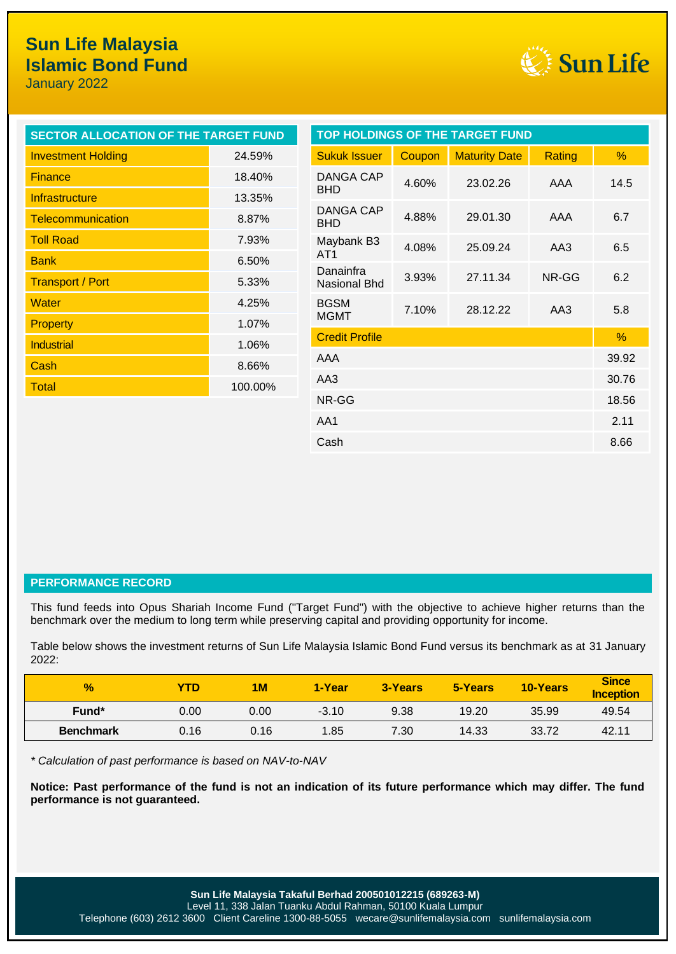January 2022



| SECTOR ALLOCATION OF THE TARGET FUND |                                | <b>TOP HOLDINGS OF THE TARGET FUND</b> |               |                      |        |       |
|--------------------------------------|--------------------------------|----------------------------------------|---------------|----------------------|--------|-------|
| <b>Investment Holding</b>            | 24.59%                         | <b>Sukuk Issuer</b>                    | Coupon        | <b>Maturity Date</b> | Rating | %     |
| <b>Finance</b>                       | 18.40%                         | DANGA CAP                              | 4.60%         | 23.02.26             | AAA    | 14.5  |
| Infrastructure                       | 13.35%                         | <b>BHD</b>                             |               |                      |        |       |
| <b>Telecommunication</b>             | 8.87%                          | <b>DANGA CAP</b><br><b>BHD</b>         | 4.88%         | 29.01.30             | AAA    | 6.7   |
| <b>Toll Road</b>                     | 7.93%                          | Maybank B3                             | 4.08%         | 25.09.24             | AA3    | 6.5   |
| <b>Bank</b>                          | 6.50%                          | AT <sub>1</sub>                        |               |                      |        |       |
| <b>Transport / Port</b>              | 5.33%                          | Danainfra<br><b>Nasional Bhd</b>       | 3.93%         | 27.11.34             | NR-GG  | 6.2   |
| <b>Water</b>                         | 4.25%                          | <b>BGSM</b>                            | 7.10%         | 28.12.22             | AA3    | 5.8   |
| <b>Property</b>                      | 1.07%                          | <b>MGMT</b>                            |               |                      |        |       |
| <b>Industrial</b>                    | <b>Credit Profile</b><br>1.06% |                                        | $\frac{9}{6}$ |                      |        |       |
| Cash                                 | AAA<br>8.66%                   |                                        | 39.92         |                      |        |       |
| <b>Total</b>                         | AA3<br>100.00%                 |                                        | 30.76         |                      |        |       |
|                                      |                                | NR-GG                                  |               |                      |        | 18.56 |
|                                      |                                | AA1                                    |               |                      |        | 2.11  |
|                                      |                                | Cash                                   |               |                      |        | 8.66  |

### **PERFORMANCE RECORD**

This fund feeds into Opus Shariah Income Fund ("Target Fund") with the objective to achieve higher returns than the benchmark over the medium to long term while preserving capital and providing opportunity for income.

Table below shows the investment returns of Sun Life Malaysia Islamic Bond Fund versus its benchmark as at 31 January 2022:

| $\frac{1}{2}$    | YTD  | 1M   | 1-Year  | 3-Years | 5-Years | 10-Years | <b>Since</b><br><b>Inception</b> |
|------------------|------|------|---------|---------|---------|----------|----------------------------------|
| Fund*            | 0.00 | 0.00 | $-3.10$ | 9.38    | 19.20   | 35.99    | 49.54                            |
| <b>Benchmark</b> | 0.16 | 0.16 | 1.85    | 7.30    | 14.33   | 33.72    | 42.11                            |

*\* Calculation of past performance is based on NAV-to-NAV*

**Notice: Past performance of the fund is not an indication of its future performance which may differ. The fund performance is not guaranteed.**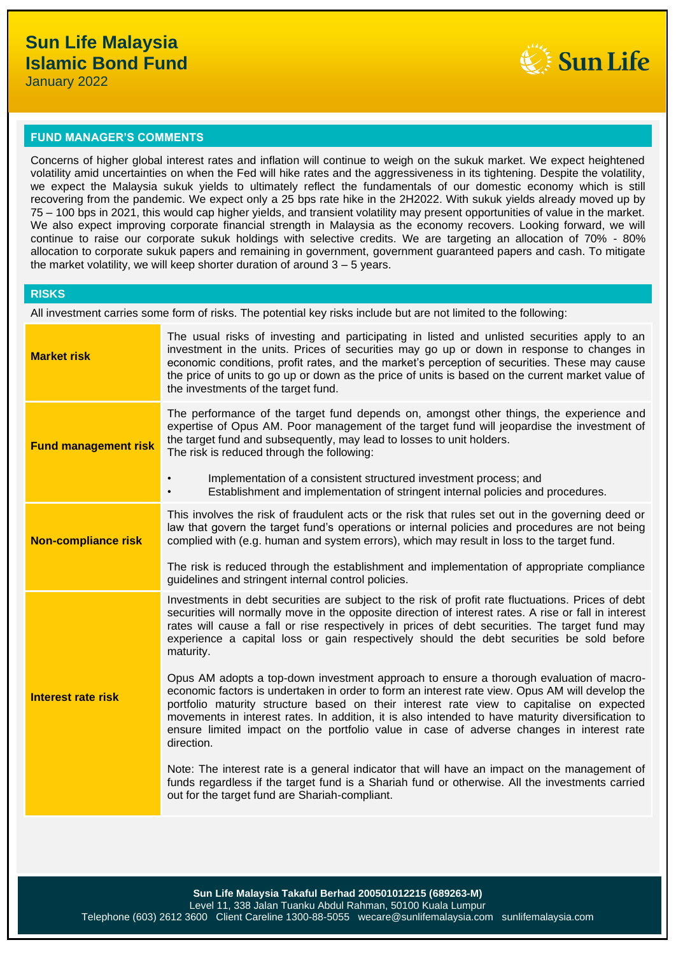

#### **FUND MANAGER'S COMMENTS**

Concerns of higher global interest rates and inflation will continue to weigh on the sukuk market. We expect heightened volatility amid uncertainties on when the Fed will hike rates and the aggressiveness in its tightening. Despite the volatility, we expect the Malaysia sukuk yields to ultimately reflect the fundamentals of our domestic economy which is still recovering from the pandemic. We expect only a 25 bps rate hike in the 2H2022. With sukuk yields already moved up by 75 – 100 bps in 2021, this would cap higher yields, and transient volatility may present opportunities of value in the market. We also expect improving corporate financial strength in Malaysia as the economy recovers. Looking forward, we will continue to raise our corporate sukuk holdings with selective credits. We are targeting an allocation of 70% - 80% allocation to corporate sukuk papers and remaining in government, government guaranteed papers and cash. To mitigate the market volatility, we will keep shorter duration of around 3 – 5 years.

All investment carries some form of risks. The potential key risks include but are not limited to the following:

| <b>Market risk</b>          | The usual risks of investing and participating in listed and unlisted securities apply to an<br>investment in the units. Prices of securities may go up or down in response to changes in<br>economic conditions, profit rates, and the market's perception of securities. These may cause<br>the price of units to go up or down as the price of units is based on the current market value of<br>the investments of the target fund.                                                                |
|-----------------------------|-------------------------------------------------------------------------------------------------------------------------------------------------------------------------------------------------------------------------------------------------------------------------------------------------------------------------------------------------------------------------------------------------------------------------------------------------------------------------------------------------------|
| <b>Fund management risk</b> | The performance of the target fund depends on, amongst other things, the experience and<br>expertise of Opus AM. Poor management of the target fund will jeopardise the investment of<br>the target fund and subsequently, may lead to losses to unit holders.<br>The risk is reduced through the following:                                                                                                                                                                                          |
|                             | Implementation of a consistent structured investment process; and<br>Establishment and implementation of stringent internal policies and procedures.<br>$\bullet$                                                                                                                                                                                                                                                                                                                                     |
| <b>Non-compliance risk</b>  | This involves the risk of fraudulent acts or the risk that rules set out in the governing deed or<br>law that govern the target fund's operations or internal policies and procedures are not being<br>complied with (e.g. human and system errors), which may result in loss to the target fund.                                                                                                                                                                                                     |
|                             | The risk is reduced through the establishment and implementation of appropriate compliance<br>guidelines and stringent internal control policies.                                                                                                                                                                                                                                                                                                                                                     |
| <b>Interest rate risk</b>   | Investments in debt securities are subject to the risk of profit rate fluctuations. Prices of debt<br>securities will normally move in the opposite direction of interest rates. A rise or fall in interest<br>rates will cause a fall or rise respectively in prices of debt securities. The target fund may<br>experience a capital loss or gain respectively should the debt securities be sold before<br>maturity.                                                                                |
|                             | Opus AM adopts a top-down investment approach to ensure a thorough evaluation of macro-<br>economic factors is undertaken in order to form an interest rate view. Opus AM will develop the<br>portfolio maturity structure based on their interest rate view to capitalise on expected<br>movements in interest rates. In addition, it is also intended to have maturity diversification to<br>ensure limited impact on the portfolio value in case of adverse changes in interest rate<br>direction. |
|                             | Note: The interest rate is a general indicator that will have an impact on the management of<br>funds regardless if the target fund is a Shariah fund or otherwise. All the investments carried<br>out for the target fund are Shariah-compliant.                                                                                                                                                                                                                                                     |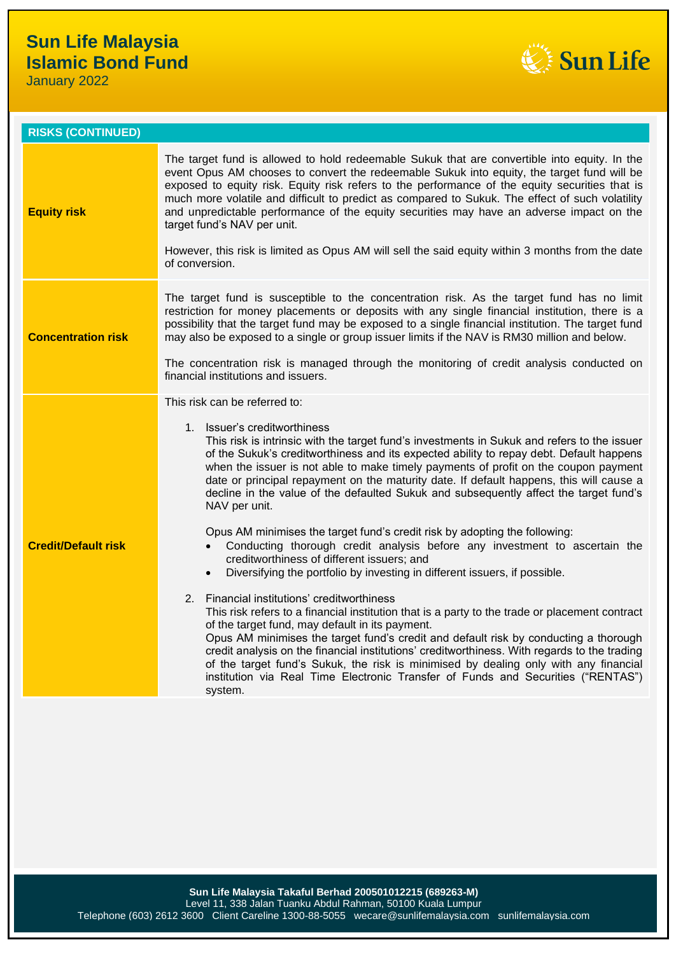January 2022



| <b>RISKS (CONTINUED)</b>   |                                                                                                                                                                                                                                                                                                                                                                                                                                                                                                                                                                                                                                                  |
|----------------------------|--------------------------------------------------------------------------------------------------------------------------------------------------------------------------------------------------------------------------------------------------------------------------------------------------------------------------------------------------------------------------------------------------------------------------------------------------------------------------------------------------------------------------------------------------------------------------------------------------------------------------------------------------|
| <b>Equity risk</b>         | The target fund is allowed to hold redeemable Sukuk that are convertible into equity. In the<br>event Opus AM chooses to convert the redeemable Sukuk into equity, the target fund will be<br>exposed to equity risk. Equity risk refers to the performance of the equity securities that is<br>much more volatile and difficult to predict as compared to Sukuk. The effect of such volatility<br>and unpredictable performance of the equity securities may have an adverse impact on the<br>target fund's NAV per unit.<br>However, this risk is limited as Opus AM will sell the said equity within 3 months from the date<br>of conversion. |
| <b>Concentration risk</b>  | The target fund is susceptible to the concentration risk. As the target fund has no limit<br>restriction for money placements or deposits with any single financial institution, there is a<br>possibility that the target fund may be exposed to a single financial institution. The target fund<br>may also be exposed to a single or group issuer limits if the NAV is RM30 million and below.<br>The concentration risk is managed through the monitoring of credit analysis conducted on<br>financial institutions and issuers.                                                                                                             |
|                            | This risk can be referred to:                                                                                                                                                                                                                                                                                                                                                                                                                                                                                                                                                                                                                    |
|                            | 1. Issuer's creditworthiness<br>This risk is intrinsic with the target fund's investments in Sukuk and refers to the issuer<br>of the Sukuk's creditworthiness and its expected ability to repay debt. Default happens<br>when the issuer is not able to make timely payments of profit on the coupon payment<br>date or principal repayment on the maturity date. If default happens, this will cause a<br>decline in the value of the defaulted Sukuk and subsequently affect the target fund's<br>NAV per unit.                                                                                                                               |
| <b>Credit/Default risk</b> | Opus AM minimises the target fund's credit risk by adopting the following:<br>Conducting thorough credit analysis before any investment to ascertain the<br>creditworthiness of different issuers; and<br>Diversifying the portfolio by investing in different issuers, if possible.<br>$\bullet$                                                                                                                                                                                                                                                                                                                                                |
|                            | 2. Financial institutions' creditworthiness<br>This risk refers to a financial institution that is a party to the trade or placement contract<br>of the target fund, may default in its payment.<br>Opus AM minimises the target fund's credit and default risk by conducting a thorough<br>credit analysis on the financial institutions' creditworthiness. With regards to the trading<br>of the target fund's Sukuk, the risk is minimised by dealing only with any financial<br>institution via Real Time Electronic Transfer of Funds and Securities ("RENTAS")<br>system.                                                                  |